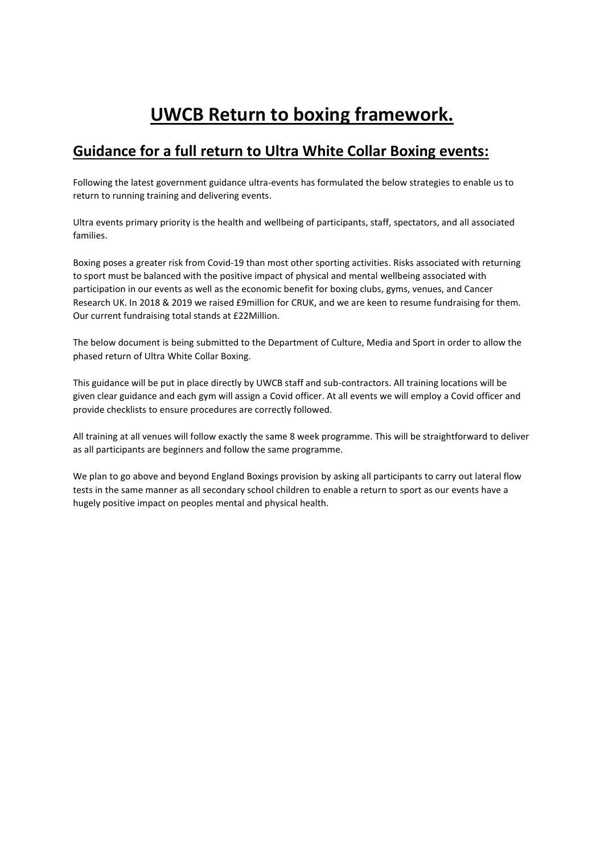# **UWCB Return to boxing framework.**

## **Guidance for a full return to Ultra White Collar Boxing events:**

Following the latest government guidance ultra-events has formulated the below strategies to enable us to return to running training and delivering events.

Ultra events primary priority is the health and wellbeing of participants, staff, spectators, and all associated families.

Boxing poses a greater risk from Covid-19 than most other sporting activities. Risks associated with returning to sport must be balanced with the positive impact of physical and mental wellbeing associated with participation in our events as well as the economic benefit for boxing clubs, gyms, venues, and Cancer Research UK. In 2018 & 2019 we raised £9million for CRUK, and we are keen to resume fundraising for them. Our current fundraising total stands at £22Million.

The below document is being submitted to the Department of Culture, Media and Sport in order to allow the phased return of Ultra White Collar Boxing.

This guidance will be put in place directly by UWCB staff and sub-contractors. All training locations will be given clear guidance and each gym will assign a Covid officer. At all events we will employ a Covid officer and provide checklists to ensure procedures are correctly followed.

All training at all venues will follow exactly the same 8 week programme. This will be straightforward to deliver as all participants are beginners and follow the same programme.

We plan to go above and beyond England Boxings provision by asking all participants to carry out lateral flow tests in the same manner as all secondary school children to enable a return to sport as our events have a hugely positive impact on peoples mental and physical health.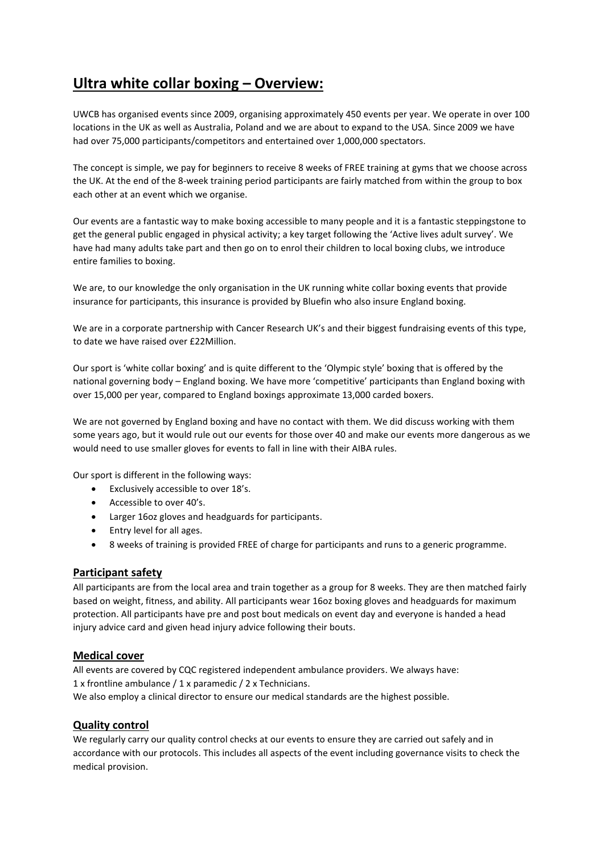## **Ultra white collar boxing – Overview:**

UWCB has organised events since 2009, organising approximately 450 events per year. We operate in over 100 locations in the UK as well as Australia, Poland and we are about to expand to the USA. Since 2009 we have had over 75,000 participants/competitors and entertained over 1,000,000 spectators.

The concept is simple, we pay for beginners to receive 8 weeks of FREE training at gyms that we choose across the UK. At the end of the 8-week training period participants are fairly matched from within the group to box each other at an event which we organise.

Our events are a fantastic way to make boxing accessible to many people and it is a fantastic steppingstone to get the general public engaged in physical activity; a key target following the 'Active lives adult survey'. We have had many adults take part and then go on to enrol their children to local boxing clubs, we introduce entire families to boxing.

We are, to our knowledge the only organisation in the UK running white collar boxing events that provide insurance for participants, this insurance is provided by Bluefin who also insure England boxing.

We are in a corporate partnership with Cancer Research UK's and their biggest fundraising events of this type, to date we have raised over £22Million.

Our sport is 'white collar boxing' and is quite different to the 'Olympic style' boxing that is offered by the national governing body – England boxing. We have more 'competitive' participants than England boxing with over 15,000 per year, compared to England boxings approximate 13,000 carded boxers.

We are not governed by England boxing and have no contact with them. We did discuss working with them some years ago, but it would rule out our events for those over 40 and make our events more dangerous as we would need to use smaller gloves for events to fall in line with their AIBA rules.

Our sport is different in the following ways:

- Exclusively accessible to over 18's.
- Accessible to over 40's.
- Larger 16oz gloves and headguards for participants.
- Entry level for all ages.
- 8 weeks of training is provided FREE of charge for participants and runs to a generic programme.

### **Participant safety**

All participants are from the local area and train together as a group for 8 weeks. They are then matched fairly based on weight, fitness, and ability. All participants wear 16oz boxing gloves and headguards for maximum protection. All participants have pre and post bout medicals on event day and everyone is handed a head injury advice card and given head injury advice following their bouts.

### **Medical cover**

All events are covered by CQC registered independent ambulance providers. We always have: 1 x frontline ambulance / 1 x paramedic / 2 x Technicians.

We also employ a clinical director to ensure our medical standards are the highest possible.

## **Quality control**

We regularly carry our quality control checks at our events to ensure they are carried out safely and in accordance with our protocols. This includes all aspects of the event including governance visits to check the medical provision.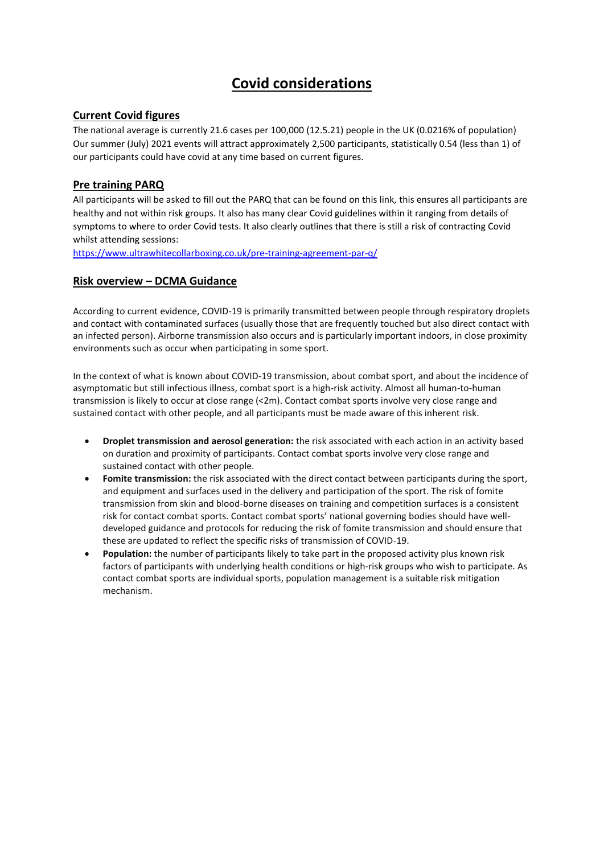## **Covid considerations**

## **Current Covid figures**

The national average is currently 21.6 cases per 100,000 (12.5.21) people in the UK (0.0216% of population) Our summer (July) 2021 events will attract approximately 2,500 participants, statistically 0.54 (less than 1) of our participants could have covid at any time based on current figures.

## **Pre training PARQ**

All participants will be asked to fill out the PARQ that can be found on this link, this ensures all participants are healthy and not within risk groups. It also has many clear Covid guidelines within it ranging from details of symptoms to where to order Covid tests. It also clearly outlines that there is still a risk of contracting Covid whilst attending sessions:

<https://www.ultrawhitecollarboxing.co.uk/pre-training-agreement-par-q/>

## **Risk overview – DCMA Guidance**

According to current evidence, COVID-19 is primarily transmitted between people through respiratory droplets and contact with contaminated surfaces (usually those that are frequently touched but also direct contact with an infected person). Airborne transmission also occurs and is particularly important indoors, in close proximity environments such as occur when participating in some sport.

In the context of what is known about COVID-19 transmission, about combat sport, and about the incidence of asymptomatic but still infectious illness, combat sport is a high-risk activity. Almost all human-to-human transmission is likely to occur at close range (<2m). Contact combat sports involve very close range and sustained contact with other people, and all participants must be made aware of this inherent risk.

- **Droplet transmission and aerosol generation:** the risk associated with each action in an activity based on duration and proximity of participants. Contact combat sports involve very close range and sustained contact with other people.
- **Fomite transmission:** the risk associated with the direct contact between participants during the sport, and equipment and surfaces used in the delivery and participation of the sport. The risk of fomite transmission from skin and blood-borne diseases on training and competition surfaces is a consistent risk for contact combat sports. Contact combat sports' national governing bodies should have welldeveloped guidance and protocols for reducing the risk of fomite transmission and should ensure that these are updated to reflect the specific risks of transmission of COVID-19.
- **Population:** the number of participants likely to take part in the proposed activity plus known risk factors of participants with underlying health conditions or high-risk groups who wish to participate. As contact combat sports are individual sports, population management is a suitable risk mitigation mechanism.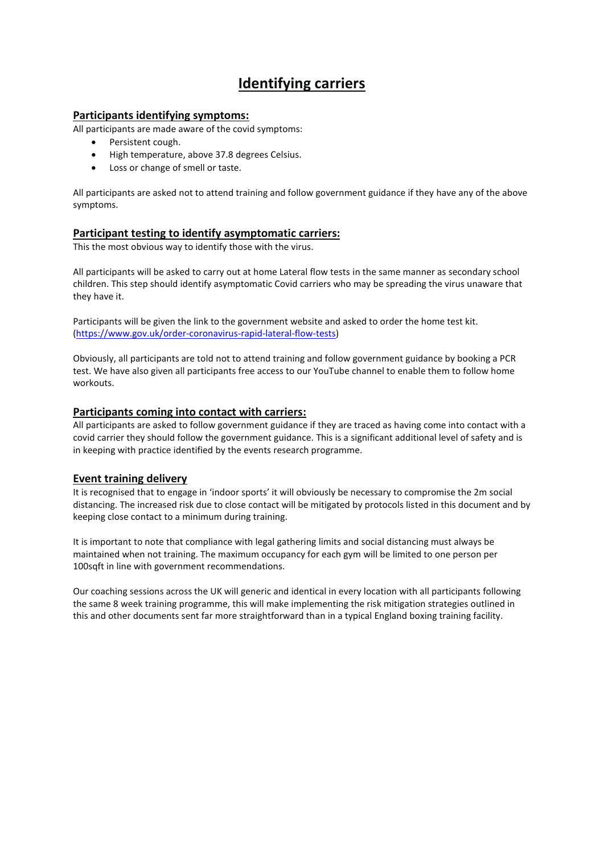## **Identifying carriers**

### **Participants identifying symptoms:**

All participants are made aware of the covid symptoms:

- Persistent cough.
- High temperature, above 37.8 degrees Celsius.
- Loss or change of smell or taste.

All participants are asked not to attend training and follow government guidance if they have any of the above symptoms.

### **Participant testing to identify asymptomatic carriers:**

This the most obvious way to identify those with the virus.

All participants will be asked to carry out at home Lateral flow tests in the same manner as secondary school children. This step should identify asymptomatic Covid carriers who may be spreading the virus unaware that they have it.

Participants will be given the link to the government website and asked to order the home test kit. [\(https://www.gov.uk/order-coronavirus-rapid-lateral-flow-tests\)](https://www.gov.uk/order-coronavirus-rapid-lateral-flow-tests)

Obviously, all participants are told not to attend training and follow government guidance by booking a PCR test. We have also given all participants free access to our YouTube channel to enable them to follow home workouts.

#### **Participants coming into contact with carriers:**

All participants are asked to follow government guidance if they are traced as having come into contact with a covid carrier they should follow the government guidance. This is a significant additional level of safety and is in keeping with practice identified by the events research programme.

### **Event training delivery**

It is recognised that to engage in 'indoor sports' it will obviously be necessary to compromise the 2m social distancing. The increased risk due to close contact will be mitigated by protocols listed in this document and by keeping close contact to a minimum during training.

It is important to note that compliance with legal gathering limits and social distancing must always be maintained when not training. The maximum occupancy for each gym will be limited to one person per 100sqft in line with government recommendations.

Our coaching sessions across the UK will generic and identical in every location with all participants following the same 8 week training programme, this will make implementing the risk mitigation strategies outlined in this and other documents sent far more straightforward than in a typical England boxing training facility.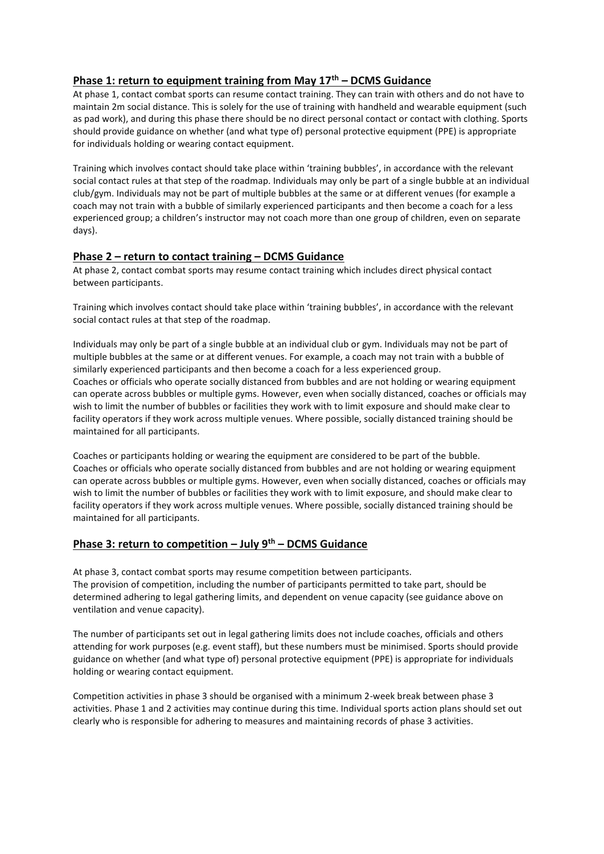## **Phase 1: return to equipment training from May 17th – DCMS Guidance**

At phase 1, contact combat sports can resume contact training. They can train with others and do not have to maintain 2m social distance. This is solely for the use of training with handheld and wearable equipment (such as pad work), and during this phase there should be no direct personal contact or contact with clothing. Sports should provide guidance on whether (and what type of) personal protective equipment (PPE) is appropriate for individuals holding or wearing contact equipment.

Training which involves contact should take place within 'training bubbles', in accordance with the relevant social contact rules at that step of the roadmap. Individuals may only be part of a single bubble at an individual club/gym. Individuals may not be part of multiple bubbles at the same or at different venues (for example a coach may not train with a bubble of similarly experienced participants and then become a coach for a less experienced group; a children's instructor may not coach more than one group of children, even on separate days).

### **Phase 2 – return to contact training – DCMS Guidance**

At phase 2, contact combat sports may resume contact training which includes direct physical contact between participants.

Training which involves contact should take place within 'training bubbles', in accordance with the relevant social contact rules at that step of the roadmap.

Individuals may only be part of a single bubble at an individual club or gym. Individuals may not be part of multiple bubbles at the same or at different venues. For example, a coach may not train with a bubble of similarly experienced participants and then become a coach for a less experienced group. Coaches or officials who operate socially distanced from bubbles and are not holding or wearing equipment can operate across bubbles or multiple gyms. However, even when socially distanced, coaches or officials may wish to limit the number of bubbles or facilities they work with to limit exposure and should make clear to facility operators if they work across multiple venues. Where possible, socially distanced training should be maintained for all participants.

Coaches or participants holding or wearing the equipment are considered to be part of the bubble. Coaches or officials who operate socially distanced from bubbles and are not holding or wearing equipment can operate across bubbles or multiple gyms. However, even when socially distanced, coaches or officials may wish to limit the number of bubbles or facilities they work with to limit exposure, and should make clear to facility operators if they work across multiple venues. Where possible, socially distanced training should be maintained for all participants.

### **Phase 3: return to competition – July 9th – DCMS Guidance**

At phase 3, contact combat sports may resume competition between participants. The provision of competition, including the number of participants permitted to take part, should be determined adhering to legal gathering limits, and dependent on venue capacity (see guidance above on ventilation and venue capacity).

The number of participants set out in legal gathering limits does not include coaches, officials and others attending for work purposes (e.g. event staff), but these numbers must be minimised. Sports should provide guidance on whether (and what type of) personal protective equipment (PPE) is appropriate for individuals holding or wearing contact equipment.

Competition activities in phase 3 should be organised with a minimum 2-week break between phase 3 activities. Phase 1 and 2 activities may continue during this time. Individual sports action plans should set out clearly who is responsible for adhering to measures and maintaining records of phase 3 activities.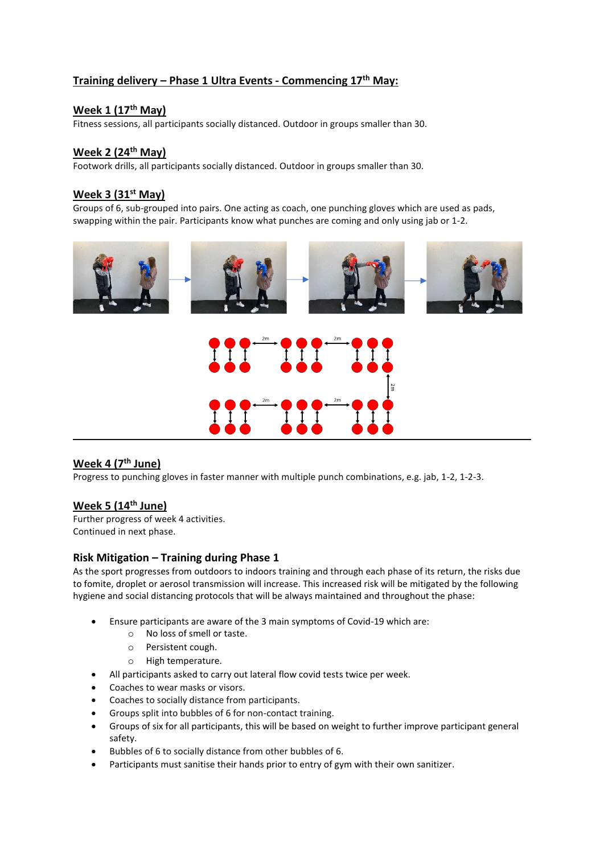## **Training delivery – Phase 1 Ultra Events - Commencing 17th May:**

## **Week 1 (17th May)**

Fitness sessions, all participants socially distanced. Outdoor in groups smaller than 30.

## **Week 2 (24th May)**

Footwork drills, all participants socially distanced. Outdoor in groups smaller than 30.

### **Week 3 (31st May)**

Groups of 6, sub-grouped into pairs. One acting as coach, one punching gloves which are used as pads, swapping within the pair. Participants know what punches are coming and only using jab or 1-2.



## **Week 4 (7th June)**

Progress to punching gloves in faster manner with multiple punch combinations, e.g. jab, 1-2, 1-2-3.

### **Week 5 (14th June)**

Further progress of week 4 activities. Continued in next phase.

#### **Risk Mitigation – Training during Phase 1**

As the sport progresses from outdoors to indoors training and through each phase of its return, the risks due to fomite, droplet or aerosol transmission will increase. This increased risk will be mitigated by the following hygiene and social distancing protocols that will be always maintained and throughout the phase:

- Ensure participants are aware of the 3 main symptoms of Covid-19 which are:
	- o No loss of smell or taste.
	- o Persistent cough.
	- o High temperature.
	- All participants asked to carry out lateral flow covid tests twice per week.
- Coaches to wear masks or visors.
- Coaches to socially distance from participants.
- Groups split into bubbles of 6 for non-contact training.
- Groups of six for all participants, this will be based on weight to further improve participant general safety.
- Bubbles of 6 to socially distance from other bubbles of 6.
- Participants must sanitise their hands prior to entry of gym with their own sanitizer.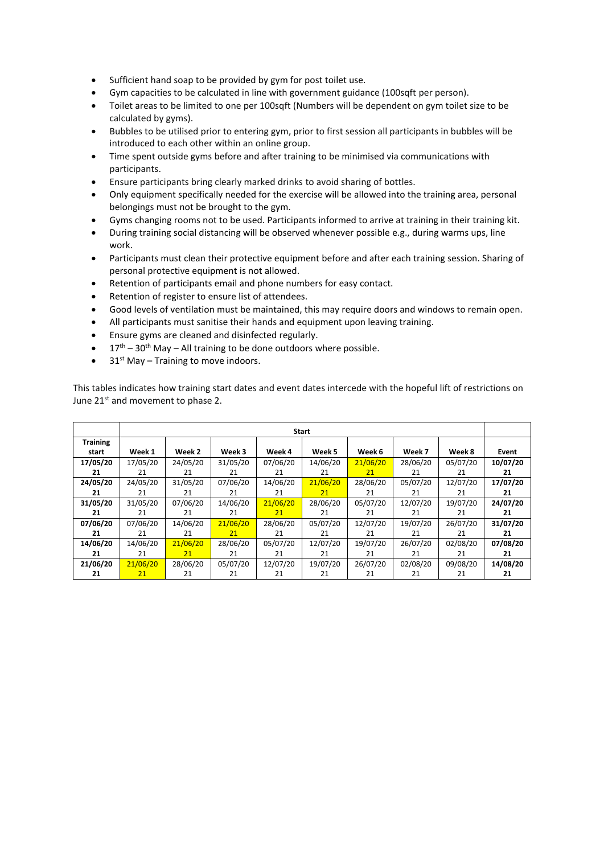- Sufficient hand soap to be provided by gym for post toilet use.
- Gym capacities to be calculated in line with government guidance (100sqft per person).
- Toilet areas to be limited to one per 100sqft (Numbers will be dependent on gym toilet size to be calculated by gyms).
- Bubbles to be utilised prior to entering gym, prior to first session all participants in bubbles will be introduced to each other within an online group.
- Time spent outside gyms before and after training to be minimised via communications with participants.
- Ensure participants bring clearly marked drinks to avoid sharing of bottles.
- Only equipment specifically needed for the exercise will be allowed into the training area, personal belongings must not be brought to the gym.
- Gyms changing rooms not to be used. Participants informed to arrive at training in their training kit.
- During training social distancing will be observed whenever possible e.g., during warms ups, line work.
- Participants must clean their protective equipment before and after each training session. Sharing of personal protective equipment is not allowed.
- Retention of participants email and phone numbers for easy contact.
- Retention of register to ensure list of attendees.
- Good levels of ventilation must be maintained, this may require doors and windows to remain open.
- All participants must sanitise their hands and equipment upon leaving training.
- Ensure gyms are cleaned and disinfected regularly.
- $17<sup>th</sup> 30<sup>th</sup>$  May All training to be done outdoors where possible.
- $31<sup>st</sup>$  May Training to move indoors.

This tables indicates how training start dates and event dates intercede with the hopeful lift of restrictions on June 21<sup>st</sup> and movement to phase 2.

|                 | Start    |          |          |          |          |          |          |          |          |
|-----------------|----------|----------|----------|----------|----------|----------|----------|----------|----------|
| <b>Training</b> |          |          |          |          |          |          |          |          |          |
| start           | Week 1   | Week 2   | Week 3   | Week 4   | Week 5   | Week 6   | Week 7   | Week 8   | Event    |
| 17/05/20        | 17/05/20 | 24/05/20 | 31/05/20 | 07/06/20 | 14/06/20 | 21/06/20 | 28/06/20 | 05/07/20 | 10/07/20 |
| 21              | 21       | 21       | 21       | 21       | 21       | 21       | 21       | 21       | 21       |
| 24/05/20        | 24/05/20 | 31/05/20 | 07/06/20 | 14/06/20 | 21/06/20 | 28/06/20 | 05/07/20 | 12/07/20 | 17/07/20 |
| 21              | 21       | 21       | 21       | 21       | 21       | 21       | 21       | 21       | 21       |
| 31/05/20        | 31/05/20 | 07/06/20 | 14/06/20 | 21/06/20 | 28/06/20 | 05/07/20 | 12/07/20 | 19/07/20 | 24/07/20 |
| 21              | 21       | 21       | 21       | 21       | 21       | 21       | 21       | 21       | 21       |
| 07/06/20        | 07/06/20 | 14/06/20 | 21/06/20 | 28/06/20 | 05/07/20 | 12/07/20 | 19/07/20 | 26/07/20 | 31/07/20 |
| 21              | 21       | 21       | 21       | 21       | 21       | 21       | 21       | 21       | 21       |
| 14/06/20        | 14/06/20 | 21/06/20 | 28/06/20 | 05/07/20 | 12/07/20 | 19/07/20 | 26/07/20 | 02/08/20 | 07/08/20 |
| 21              | 21       | 21       | 21       | 21       | 21       | 21       | 21       | 21       | 21       |
| 21/06/20        | 21/06/20 | 28/06/20 | 05/07/20 | 12/07/20 | 19/07/20 | 26/07/20 | 02/08/20 | 09/08/20 | 14/08/20 |
| 21              | 21       | 21       | 21       | 21       | 21       | 21       | 21       | 21       | 21       |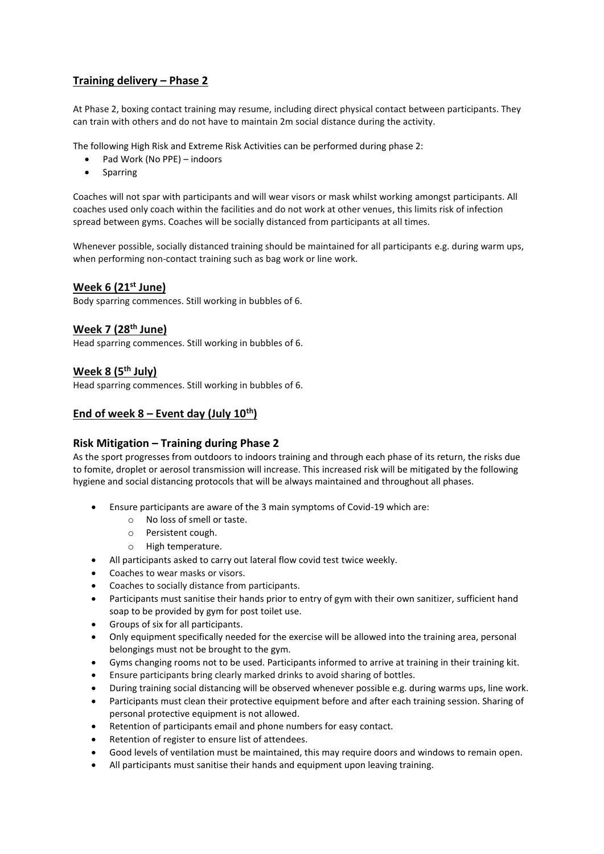## **Training delivery – Phase 2**

At Phase 2, boxing contact training may resume, including direct physical contact between participants. They can train with others and do not have to maintain 2m social distance during the activity.

The following High Risk and Extreme Risk Activities can be performed during phase 2:

- Pad Work (No PPE) indoors
- Sparring

Coaches will not spar with participants and will wear visors or mask whilst working amongst participants. All coaches used only coach within the facilities and do not work at other venues, this limits risk of infection spread between gyms. Coaches will be socially distanced from participants at all times.

Whenever possible, socially distanced training should be maintained for all participants e.g. during warm ups, when performing non-contact training such as bag work or line work.

### **Week 6 (21st June)**

Body sparring commences. Still working in bubbles of 6.

## **Week 7 (28th June)**

Head sparring commences. Still working in bubbles of 6.

### **Week 8 (5th July)**

Head sparring commences. Still working in bubbles of 6.

## **End of week 8 – Event day (July 10th)**

### **Risk Mitigation – Training during Phase 2**

As the sport progresses from outdoors to indoors training and through each phase of its return, the risks due to fomite, droplet or aerosol transmission will increase. This increased risk will be mitigated by the following hygiene and social distancing protocols that will be always maintained and throughout all phases.

- Ensure participants are aware of the 3 main symptoms of Covid-19 which are:
	- o No loss of smell or taste.
	- o Persistent cough.
	- o High temperature.
- All participants asked to carry out lateral flow covid test twice weekly.
- Coaches to wear masks or visors.
- Coaches to socially distance from participants.
- Participants must sanitise their hands prior to entry of gym with their own sanitizer, sufficient hand soap to be provided by gym for post toilet use.
- Groups of six for all participants.
- Only equipment specifically needed for the exercise will be allowed into the training area, personal belongings must not be brought to the gym.
- Gyms changing rooms not to be used. Participants informed to arrive at training in their training kit.
- Ensure participants bring clearly marked drinks to avoid sharing of bottles.
- During training social distancing will be observed whenever possible e.g. during warms ups, line work.
- Participants must clean their protective equipment before and after each training session. Sharing of personal protective equipment is not allowed.
- Retention of participants email and phone numbers for easy contact.
- Retention of register to ensure list of attendees.
- Good levels of ventilation must be maintained, this may require doors and windows to remain open.
- All participants must sanitise their hands and equipment upon leaving training.